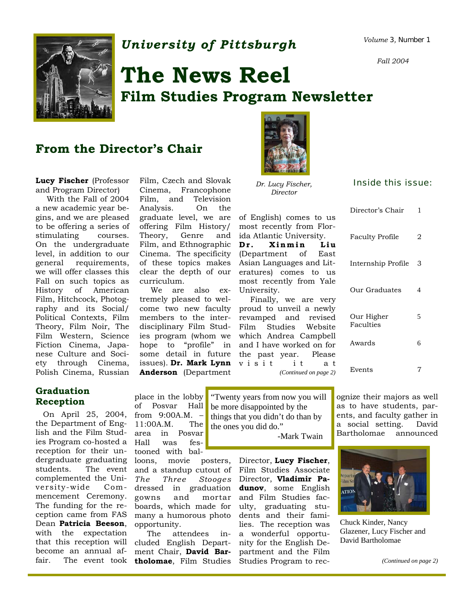

# *University of Pittsburgh Volume 3, Number 1*

*Fall 2004* 

# **The News Reel Film Studies Program Newsletter**

### **From the Director's Chair**

**Lucy Fischer** (Professor Film, Czech and Slovak *Dr. Lucy Fischer*, **Inside this issue:** and Program Director) Cinema, Francophone *Director* and Program Director)

 With the Fall of 2004 a new academic year begins, and we are pleased to be offering a series of stimulating courses. On the undergraduate level, in addition to our general requirements, we will offer classes this Fall on such topics as History of American Film, Hitchcock, Photography and its Social/ Political Contexts, Film Theory, Film Noir, The Film Western, Science Fiction Cinema, Japanese Culture and Society through Cinema, Polish Cinema, Russian

Film, Czech and Slovak Francophone Film, and Television Analysis. On the graduate level, we are offering Film History/ Theory, Genre and Film, and Ethnographic Cinema. The specificity of these topics makes clear the depth of our curriculum.

 We are also extremely pleased to welmembers to the interdisciplinary Film Studies program (whom we hope to "profile" in some detail in future **Anderson** (Department



*Dr. Lucy Fischer, Director* 

of English) comes to us most recently from Florida Atlantic University. **Dr. Xinmin Liu** (Department of East Asian Languages and Literatures) comes to us most recently from Yale University.

come two new faculty proud to unveil a newly issues). **Dr. Mark Lynn**  v i s i t i t a t Finally, we are very revamped and revised Film Studies Website which Andrea Campbell and I have worked on for the past year. Please *(Continued on page 2)* 

| Director's Chair        | 1 |
|-------------------------|---|
| <b>Faculty Profile</b>  | 2 |
| Internship Profile      | 3 |
| Our Graduates           | 4 |
| Our Higher<br>Faculties | 5 |
| Awards                  | 6 |
| Events                  | 7 |

# **Graduation**

 On April 25, 2004, from 9:00A.M. – the Department of English and the Film Studies Program co-hosted a reception for their unstudents. The event complemented the University-wide Commencement Ceremony. The funding for the reception came from FAS Dean **Patricia Beeson**, with the expectation that this reception will become an annual af-

place in the lobby of Posvar Hall 11:00A.M. The area in Posvar Hall was festooned with bal-

dergraduate graduating loons, movie posters, and a standup cutout of Film Studies Associate *The Three Stooges*  Director, **Vladimir Pa**dressed in graduation gowns and mortar boards, which made for many a humorous photo opportunity.

fair. The event took **tholomae**, Film Studies Studies Program to rec- The attendees included English Department Chair, **David Bar-**

**Reception Place in the lobby** "Twenty years from now you will be more disappointed by the things that you didn't do than by the ones you did do."

-Mark Twain

posters, Director, **Lucy Fischer**, **dunov**, some English and Film Studies faculty, graduating students and their families. The reception was a wonderful opportunity for the English Department and the Film

ognize their majors as well as to have students, parents, and faculty gather in a social setting. David Bartholomae announced



Chuck Kinder, Nancy Glazener, Lucy Fischer and David Bartholomae

*(Continued on page 2)*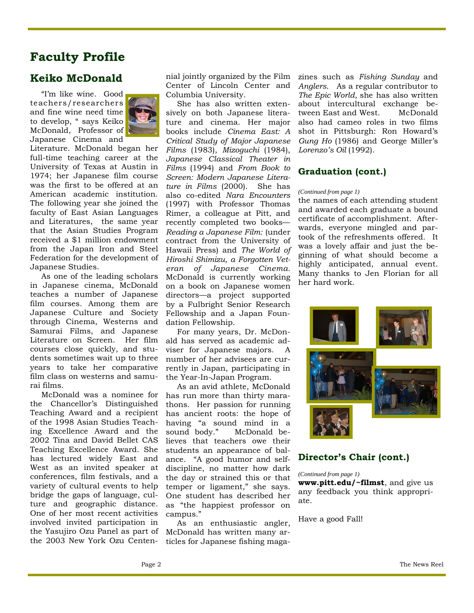# **Faculty Profile**

### **Keiko McDonald**

"I'm like wine. Good teachers/researchers and fine wine need time to develop, " says Keiko McDonald, Professor of Japanese Cinema and



Literature. McDonald began her full-time teaching career at the University of Texas at Austin in 1974; her Japanese film course was the first to be offered at an American academic institution. The following year she joined the faculty of East Asian Languages and Literatures, the same year that the Asian Studies Program received a \$1 million endowment from the Japan Iron and Steel Federation for the development of Japanese Studies.

 As one of the leading scholars in Japanese cinema, McDonald teaches a number of Japanese film courses. Among them are Japanese Culture and Society through Cinema, Westerns and Samurai Films, and Japanese Literature on Screen. Her film courses close quickly, and students sometimes wait up to three years to take her comparative film class on westerns and samurai films.

 McDonald was a nominee for the Chancellor's Distinguished Teaching Award and a recipient of the 1998 Asian Studies Teaching Excellence Award and the 2002 Tina and David Bellet CAS Teaching Excellence Award. She has lectured widely East and West as an invited speaker at conferences, film festivals, and a variety of cultural events to help bridge the gaps of language, culture and geographic distance. One of her most recent activities involved invited participation in the Yasujiro Ozu Panel as part of the 2003 New York Ozu Centen-

nial jointly organized by the Film Center of Lincoln Center and Columbia University.

 She has also written extensively on both Japanese literature and cinema. Her major books include *Cinema East: A Critical Study of Major Japanese Films* (1983), *Mizoguchi* (1984), *Japanese Classical Theater in Films* (1994) and *From Book to Screen: Modern Japanese Literature in Films* (2000). She has also co-edited *Nara Encounters*  (1997) with Professor Thomas Rimer, a colleague at Pitt, and recently completed two books— *Reading a Japanese Film:* (under contract from the University of Hawaii Press) and *The World of Hiroshi Shimizu, a Forgotten Veteran of Japanese Cinema.*  McDonald is currently working on a book on Japanese women directors—a project supported by a Fulbright Senior Research Fellowship and a Japan Foundation Fellowship.

 For many years, Dr. McDonald has served as academic adviser for Japanese majors. A number of her advisees are currently in Japan, participating in the Year-In-Japan Program.

 As an avid athlete, McDonald has run more than thirty marathons. Her passion for running has ancient roots: the hope of having "a sound mind in a sound body." McDonald believes that teachers owe their students an appearance of balance. "A good humor and selfdiscipline, no matter how dark the day or strained this or that temper or ligament," she says. One student has described her as "the happiest professor on campus."

 As an enthusiastic angler, McDonald has written many articles for Japanese fishing magazines such as *Fishing Sunday* and *Anglers*. As a regular contributor to *The Epic World,* she has also written about intercultural exchange between East and West. McDonald also had cameo roles in two films shot in Pittsburgh: Ron Howard's *Gung Ho* (1986) and George Miller's *Lorenzo's Oil* (1992).

#### **Graduation (cont.)**

#### *(Continued from page 1)*

the names of each attending student and awarded each graduate a bound certificate of accomplishment. Afterwards, everyone mingled and partook of the refreshments offered. It was a lovely affair and just the beginning of what should become a highly anticipated, annual event. Many thanks to Jen Florian for all her hard work.



#### **Director's Chair (cont.)**

#### *(Continued from page 1)*

**www.pitt.edu/~filmst**, and give us any feedback you think appropriate.

Have a good Fall!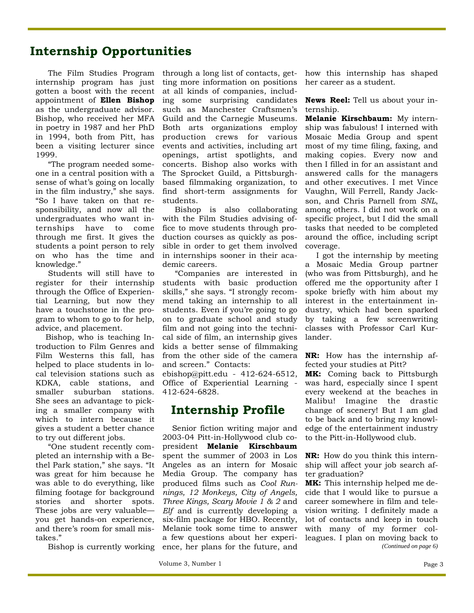# **Internship Opportunities**

 The Film Studies Program internship program has just gotten a boost with the recent appointment of **Ellen Bishop**  as the undergraduate advisor. Bishop, who received her MFA in poetry in 1987 and her PhD in 1994, both from Pitt, has been a visiting lecturer since 1999.

 "The program needed someone in a central position with a sense of what's going on locally in the film industry," she says. "So I have taken on that responsibility, and now all the undergraduates who want internships have to come through me first. It gives the students a point person to rely on who has the time and knowledge."

 Students will still have to register for their internship through the Office of Experiential Learning, but now they have a touchstone in the program to whom to go to for help, advice, and placement.

 Bishop, who is teaching Introduction to Film Genres and Film Westerns this fall, has helped to place students in local television stations such as KDKA, cable stations, and smaller suburban stations. She sees an advantage to picking a smaller company with which to intern because it gives a student a better chance to try out different jobs.

 "One student recently completed an internship with a Bethel Park station," she says. "It was great for him because he was able to do everything, like filming footage for background stories and shorter spots. These jobs are very valuable you get hands-on experience, and there's room for small mistakes."

Bishop is currently working

through a long list of contacts, getting more information on positions at all kinds of companies, including some surprising candidates such as Manchester Craftsmen's Guild and the Carnegie Museums. Both arts organizations employ production crews for various events and activities, including art openings, artist spotlights, and concerts. Bishop also works with The Sprocket Guild, a Pittsburghbased filmmaking organization, to find short-term assignments for students.

 Bishop is also collaborating with the Film Studies advising office to move students through production courses as quickly as possible in order to get them involved in internships sooner in their academic careers.

 "Companies are interested in students with basic production skills," she says. "I strongly recommend taking an internship to all students. Even if you're going to go on to graduate school and study film and not going into the technical side of film, an internship gives kids a better sense of filmmaking from the other side of the camera and screen." Contacts: ebishop@pitt.edu - 412-624-6512, Office of Experiential Learning - 412-624-6828.

## **Internship Profile**

 Senior fiction writing major and 2003-04 Pitt-in-Hollywood club copresident **Melanie Kirschbaum**  spent the summer of 2003 in Los Angeles as an intern for Mosaic Media Group. The company has produced films such as *Cool Runnings, 12 Monkeys, City of Angels, Three Kings, Scary Movie 1 & 2* and *Elf* and is currently developing a six-film package for HBO. Recently, Melanie took some time to answer a few questions about her experience, her plans for the future, and

how this internship has shaped her career as a student.

**News Reel:** Tell us about your internship.

**Melanie Kirschbaum:** My internship was fabulous! I interned with Mosaic Media Group and spent most of my time filing, faxing, and making copies. Every now and then I filled in for an assistant and answered calls for the managers and other executives. I met Vince Vaughn, Will Ferrell, Randy Jackson, and Chris Parnell from *SNL*, among others. I did not work on a specific project, but I did the small tasks that needed to be completed around the office, including script coverage.

 I got the internship by meeting a Mosaic Media Group partner (who was from Pittsburgh), and he offered me the opportunity after I spoke briefly with him about my interest in the entertainment industry, which had been sparked by taking a few screenwriting classes with Professor Carl Kurlander.

**NR:** How has the internship affected your studies at Pitt?

**MK:** Coming back to Pittsburgh was hard, especially since I spent every weekend at the beaches in Malibu! Imagine the drastic change of scenery! But I am glad to be back and to bring my knowledge of the entertainment industry to the Pitt-in-Hollywood club.

**NR:** How do you think this internship will affect your job search after graduation?

**MK:** This internship helped me decide that I would like to pursue a career somewhere in film and television writing. I definitely made a lot of contacts and keep in touch with many of my former colleagues. I plan on moving back to *(Continued on page 6)*